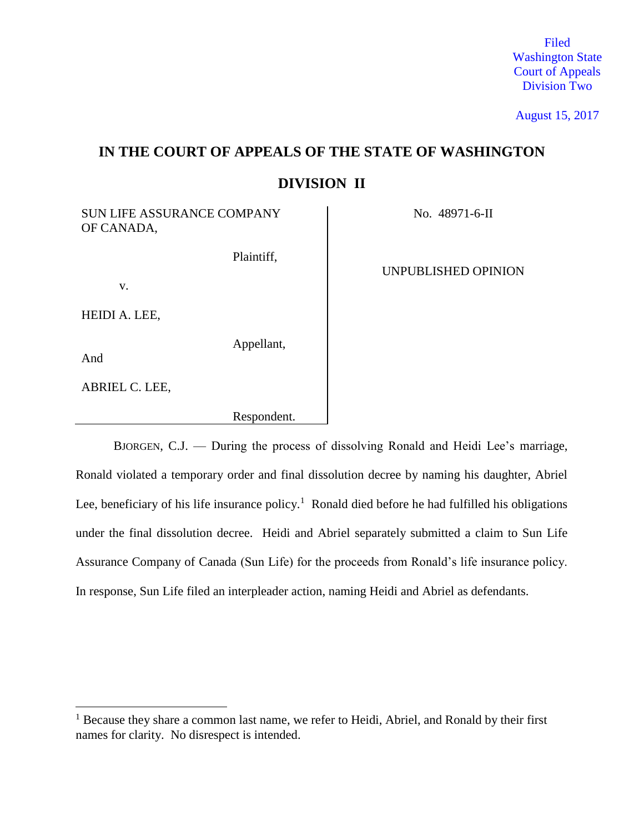Filed Washington State Court of Appeals Division Two

August 15, 2017

# **IN THE COURT OF APPEALS OF THE STATE OF WASHINGTON DIVISION II**

SUN LIFE ASSURANCE COMPANY | No. 48971-6-II OF CANADA,

Plaintiff,

v.

HEIDI A. LEE,

Appellant,

Respondent.

And

 $\overline{a}$ 

ABRIEL C. LEE,

UNPUBLISHED OPINION

BJORGEN, C.J. — During the process of dissolving Ronald and Heidi Lee's marriage, Ronald violated a temporary order and final dissolution decree by naming his daughter, Abriel Lee, beneficiary of his life insurance policy.<sup>1</sup> Ronald died before he had fulfilled his obligations under the final dissolution decree. Heidi and Abriel separately submitted a claim to Sun Life Assurance Company of Canada (Sun Life) for the proceeds from Ronald's life insurance policy. In response, Sun Life filed an interpleader action, naming Heidi and Abriel as defendants.

 $<sup>1</sup>$  Because they share a common last name, we refer to Heidi, Abriel, and Ronald by their first</sup> names for clarity. No disrespect is intended.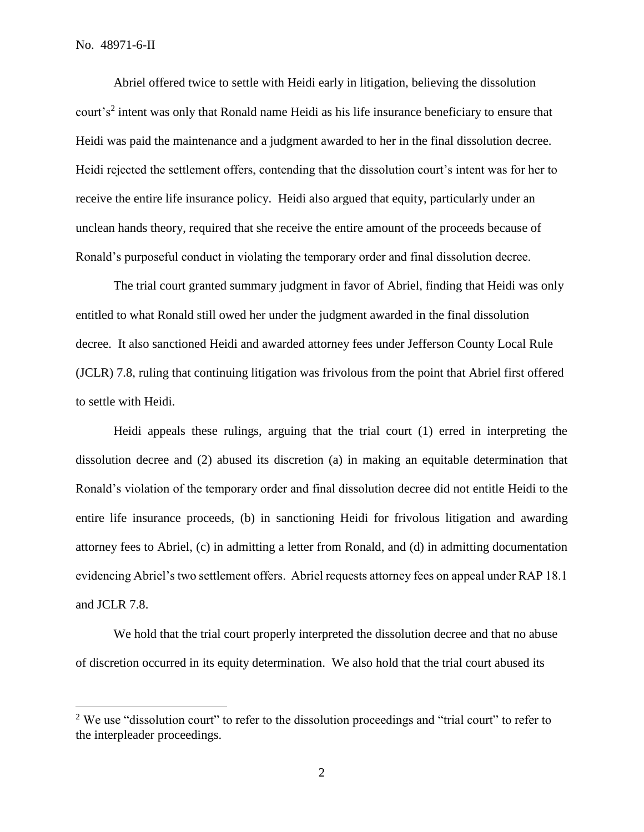Abriel offered twice to settle with Heidi early in litigation, believing the dissolution court's<sup>2</sup> intent was only that Ronald name Heidi as his life insurance beneficiary to ensure that Heidi was paid the maintenance and a judgment awarded to her in the final dissolution decree. Heidi rejected the settlement offers, contending that the dissolution court's intent was for her to receive the entire life insurance policy. Heidi also argued that equity, particularly under an unclean hands theory, required that she receive the entire amount of the proceeds because of Ronald's purposeful conduct in violating the temporary order and final dissolution decree.

The trial court granted summary judgment in favor of Abriel, finding that Heidi was only entitled to what Ronald still owed her under the judgment awarded in the final dissolution decree. It also sanctioned Heidi and awarded attorney fees under Jefferson County Local Rule (JCLR) 7.8, ruling that continuing litigation was frivolous from the point that Abriel first offered to settle with Heidi.

Heidi appeals these rulings, arguing that the trial court (1) erred in interpreting the dissolution decree and (2) abused its discretion (a) in making an equitable determination that Ronald's violation of the temporary order and final dissolution decree did not entitle Heidi to the entire life insurance proceeds, (b) in sanctioning Heidi for frivolous litigation and awarding attorney fees to Abriel, (c) in admitting a letter from Ronald, and (d) in admitting documentation evidencing Abriel's two settlement offers. Abriel requests attorney fees on appeal under RAP 18.1 and JCLR 7.8.

We hold that the trial court properly interpreted the dissolution decree and that no abuse of discretion occurred in its equity determination. We also hold that the trial court abused its

<sup>&</sup>lt;sup>2</sup> We use "dissolution court" to refer to the dissolution proceedings and "trial court" to refer to the interpleader proceedings.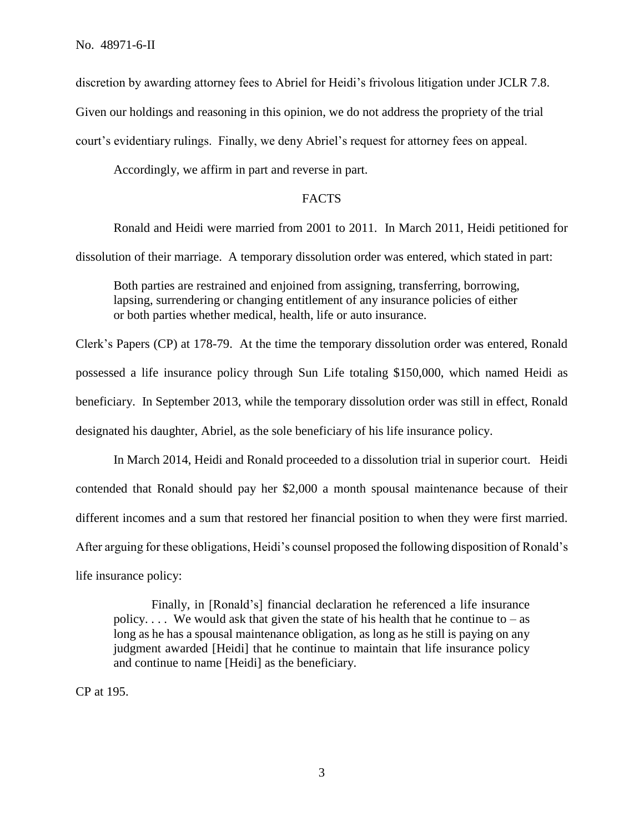discretion by awarding attorney fees to Abriel for Heidi's frivolous litigation under JCLR 7.8.

Given our holdings and reasoning in this opinion, we do not address the propriety of the trial

court's evidentiary rulings. Finally, we deny Abriel's request for attorney fees on appeal.

Accordingly, we affirm in part and reverse in part.

# FACTS

Ronald and Heidi were married from 2001 to 2011. In March 2011, Heidi petitioned for

dissolution of their marriage. A temporary dissolution order was entered, which stated in part:

Both parties are restrained and enjoined from assigning, transferring, borrowing, lapsing, surrendering or changing entitlement of any insurance policies of either or both parties whether medical, health, life or auto insurance.

Clerk's Papers (CP) at 178-79. At the time the temporary dissolution order was entered, Ronald possessed a life insurance policy through Sun Life totaling \$150,000, which named Heidi as beneficiary. In September 2013, while the temporary dissolution order was still in effect, Ronald designated his daughter, Abriel, as the sole beneficiary of his life insurance policy.

In March 2014, Heidi and Ronald proceeded to a dissolution trial in superior court. Heidi contended that Ronald should pay her \$2,000 a month spousal maintenance because of their different incomes and a sum that restored her financial position to when they were first married. After arguing for these obligations, Heidi's counsel proposed the following disposition of Ronald's life insurance policy:

Finally, in [Ronald's] financial declaration he referenced a life insurance policy.... We would ask that given the state of his health that he continue to  $-$  as long as he has a spousal maintenance obligation, as long as he still is paying on any judgment awarded [Heidi] that he continue to maintain that life insurance policy and continue to name [Heidi] as the beneficiary.

CP at 195.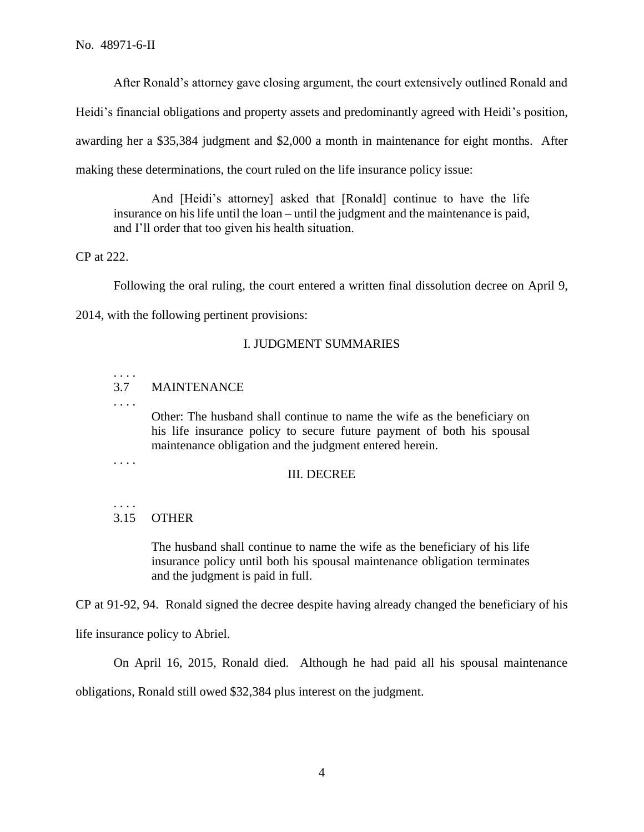After Ronald's attorney gave closing argument, the court extensively outlined Ronald and

Heidi's financial obligations and property assets and predominantly agreed with Heidi's position,

awarding her a \$35,384 judgment and \$2,000 a month in maintenance for eight months. After

making these determinations, the court ruled on the life insurance policy issue:

And [Heidi's attorney] asked that [Ronald] continue to have the life insurance on his life until the loan – until the judgment and the maintenance is paid, and I'll order that too given his health situation.

CP at 222.

Following the oral ruling, the court entered a written final dissolution decree on April 9,

2014, with the following pertinent provisions:

## I. JUDGMENT SUMMARIES

# 3.7 MAINTENANCE

. . . .

. . . .

Other: The husband shall continue to name the wife as the beneficiary on his life insurance policy to secure future payment of both his spousal maintenance obligation and the judgment entered herein.

. . . .

. . . .

## III. DECREE

# 3.15 OTHER

The husband shall continue to name the wife as the beneficiary of his life insurance policy until both his spousal maintenance obligation terminates and the judgment is paid in full.

CP at 91-92, 94. Ronald signed the decree despite having already changed the beneficiary of his

life insurance policy to Abriel.

On April 16, 2015, Ronald died. Although he had paid all his spousal maintenance

obligations, Ronald still owed \$32,384 plus interest on the judgment.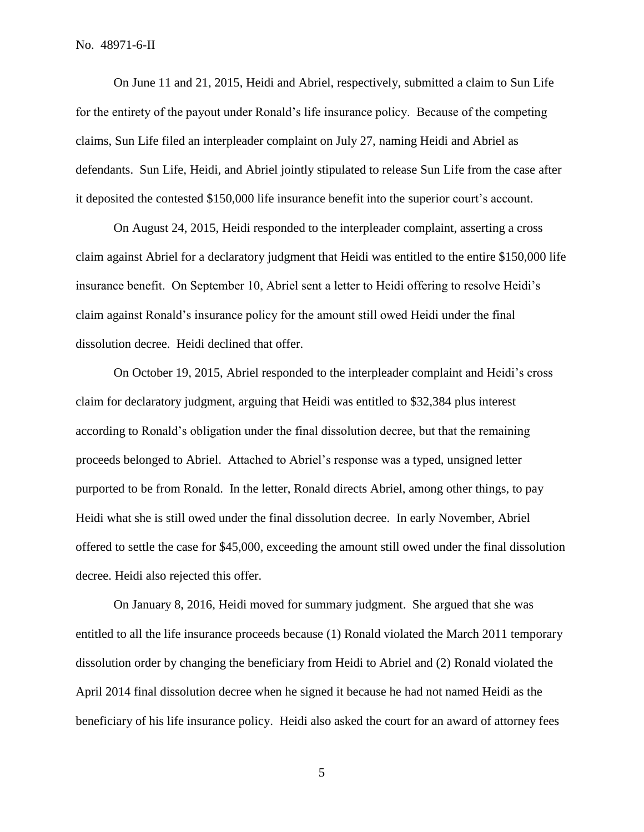On June 11 and 21, 2015, Heidi and Abriel, respectively, submitted a claim to Sun Life for the entirety of the payout under Ronald's life insurance policy. Because of the competing claims, Sun Life filed an interpleader complaint on July 27, naming Heidi and Abriel as defendants. Sun Life, Heidi, and Abriel jointly stipulated to release Sun Life from the case after it deposited the contested \$150,000 life insurance benefit into the superior court's account.

On August 24, 2015, Heidi responded to the interpleader complaint, asserting a cross claim against Abriel for a declaratory judgment that Heidi was entitled to the entire \$150,000 life insurance benefit. On September 10, Abriel sent a letter to Heidi offering to resolve Heidi's claim against Ronald's insurance policy for the amount still owed Heidi under the final dissolution decree. Heidi declined that offer.

On October 19, 2015, Abriel responded to the interpleader complaint and Heidi's cross claim for declaratory judgment, arguing that Heidi was entitled to \$32,384 plus interest according to Ronald's obligation under the final dissolution decree, but that the remaining proceeds belonged to Abriel. Attached to Abriel's response was a typed, unsigned letter purported to be from Ronald. In the letter, Ronald directs Abriel, among other things, to pay Heidi what she is still owed under the final dissolution decree. In early November, Abriel offered to settle the case for \$45,000, exceeding the amount still owed under the final dissolution decree. Heidi also rejected this offer.

On January 8, 2016, Heidi moved for summary judgment. She argued that she was entitled to all the life insurance proceeds because (1) Ronald violated the March 2011 temporary dissolution order by changing the beneficiary from Heidi to Abriel and (2) Ronald violated the April 2014 final dissolution decree when he signed it because he had not named Heidi as the beneficiary of his life insurance policy. Heidi also asked the court for an award of attorney fees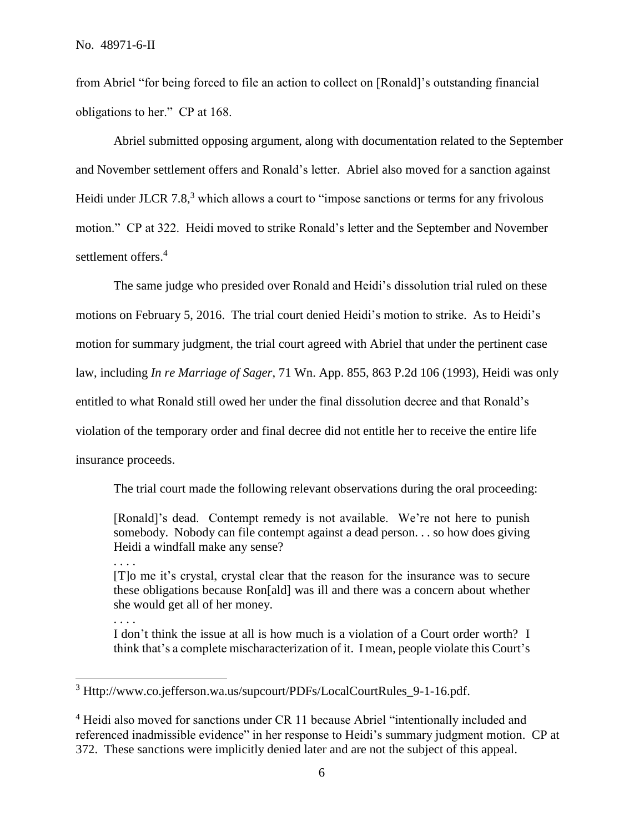from Abriel "for being forced to file an action to collect on [Ronald]'s outstanding financial obligations to her." CP at 168.

Abriel submitted opposing argument, along with documentation related to the September and November settlement offers and Ronald's letter. Abriel also moved for a sanction against Heidi under JLCR 7.8,<sup>3</sup> which allows a court to "impose sanctions or terms for any frivolous motion." CP at 322. Heidi moved to strike Ronald's letter and the September and November settlement offers.<sup>4</sup>

The same judge who presided over Ronald and Heidi's dissolution trial ruled on these motions on February 5, 2016. The trial court denied Heidi's motion to strike. As to Heidi's motion for summary judgment, the trial court agreed with Abriel that under the pertinent case law, including *In re Marriage of Sager*, 71 Wn. App. 855, 863 P.2d 106 (1993), Heidi was only entitled to what Ronald still owed her under the final dissolution decree and that Ronald's violation of the temporary order and final decree did not entitle her to receive the entire life insurance proceeds.

The trial court made the following relevant observations during the oral proceeding:

[Ronald]'s dead. Contempt remedy is not available. We're not here to punish somebody. Nobody can file contempt against a dead person. . . so how does giving Heidi a windfall make any sense?

. . . .

. . . .

 $\overline{a}$ 

[T]o me it's crystal, crystal clear that the reason for the insurance was to secure these obligations because Ron[ald] was ill and there was a concern about whether she would get all of her money.

I don't think the issue at all is how much is a violation of a Court order worth? I think that's a complete mischaracterization of it. I mean, people violate this Court's

<sup>3</sup> Http://www.co.jefferson.wa.us/supcourt/PDFs/LocalCourtRules\_9-1-16.pdf.

<sup>&</sup>lt;sup>4</sup> Heidi also moved for sanctions under CR 11 because Abriel "intentionally included and referenced inadmissible evidence" in her response to Heidi's summary judgment motion. CP at 372. These sanctions were implicitly denied later and are not the subject of this appeal.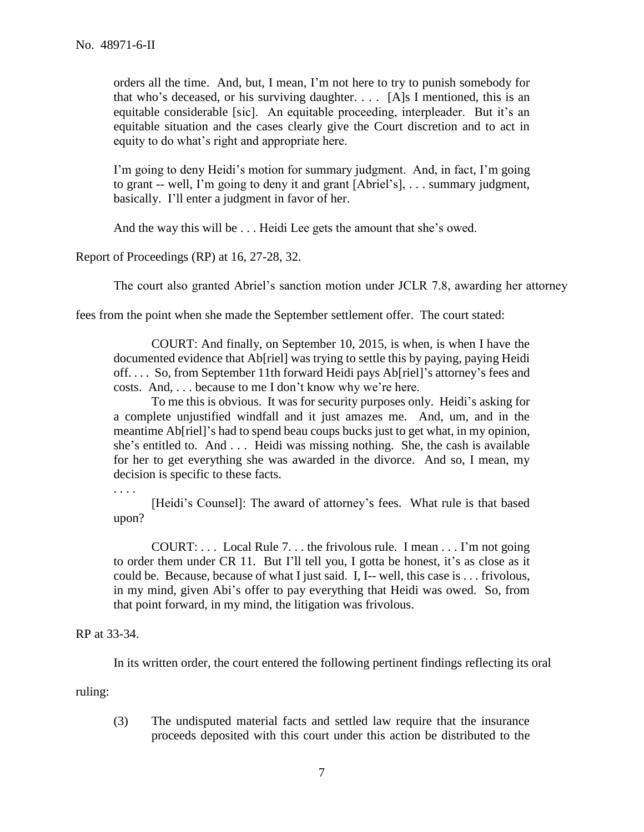orders all the time. And, but, I mean, I'm not here to try to punish somebody for that who's deceased, or his surviving daughter.  $\ldots$  [A]s I mentioned, this is an equitable considerable [sic]. An equitable proceeding, interpleader. But it's an equitable situation and the cases clearly give the Court discretion and to act in equity to do what's right and appropriate here.

I'm going to deny Heidi's motion for summary judgment. And, in fact, I'm going to grant -- well, I'm going to deny it and grant [Abriel's], . . . summary judgment, basically. I'll enter a judgment in favor of her.

And the way this will be . . . Heidi Lee gets the amount that she's owed.

Report of Proceedings (RP) at 16, 27-28, 32.

The court also granted Abriel's sanction motion under JCLR 7.8, awarding her attorney

fees from the point when she made the September settlement offer. The court stated:

COURT: And finally, on September 10, 2015, is when, is when I have the documented evidence that Ab[riel] was trying to settle this by paying, paying Heidi off. . . . So, from September 11th forward Heidi pays Ab[riel]'s attorney's fees and costs. And, . . . because to me I don't know why we're here.

To me this is obvious. It was for security purposes only. Heidi's asking for a complete unjustified windfall and it just amazes me. And, um, and in the meantime Ab[riel]'s had to spend beau coups bucks just to get what, in my opinion, she's entitled to. And . . . Heidi was missing nothing. She, the cash is available for her to get everything she was awarded in the divorce. And so, I mean, my decision is specific to these facts.

. . . .

[Heidi's Counsel]: The award of attorney's fees. What rule is that based upon?

COURT: . . . Local Rule 7. . . the frivolous rule. I mean . . . I'm not going to order them under CR 11. But I'll tell you, I gotta be honest, it's as close as it could be. Because, because of what I just said. I, I-- well, this case is . . . frivolous, in my mind, given Abi's offer to pay everything that Heidi was owed. So, from that point forward, in my mind, the litigation was frivolous.

RP at 33-34.

In its written order, the court entered the following pertinent findings reflecting its oral

ruling:

(3) The undisputed material facts and settled law require that the insurance proceeds deposited with this court under this action be distributed to the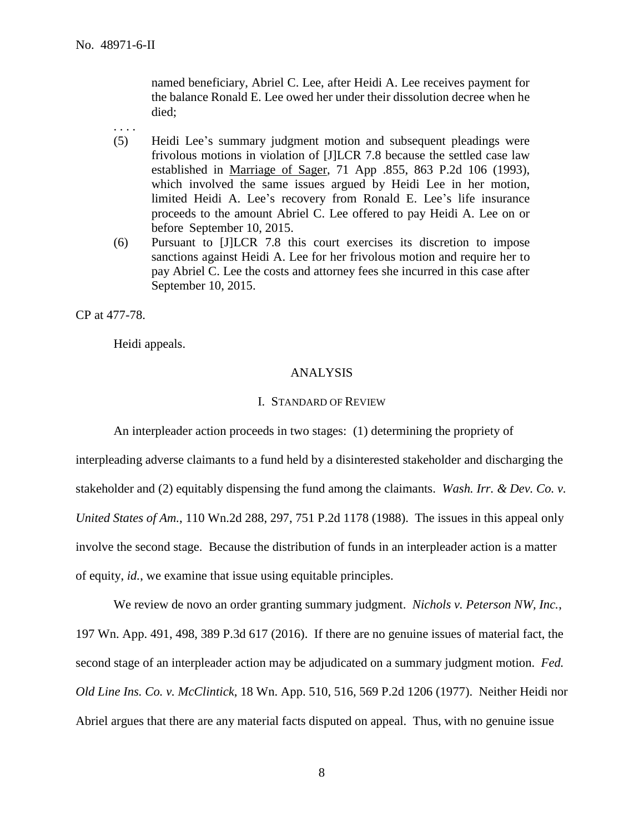. . . .

named beneficiary, Abriel C. Lee, after Heidi A. Lee receives payment for the balance Ronald E. Lee owed her under their dissolution decree when he died;

- (5) Heidi Lee's summary judgment motion and subsequent pleadings were frivolous motions in violation of [J]LCR 7.8 because the settled case law established in Marriage of Sager, 71 App .855, 863 P.2d 106 (1993), which involved the same issues argued by Heidi Lee in her motion, limited Heidi A. Lee's recovery from Ronald E. Lee's life insurance proceeds to the amount Abriel C. Lee offered to pay Heidi A. Lee on or before September 10, 2015.
- (6) Pursuant to [J]LCR 7.8 this court exercises its discretion to impose sanctions against Heidi A. Lee for her frivolous motion and require her to pay Abriel C. Lee the costs and attorney fees she incurred in this case after September 10, 2015.

CP at 477-78.

Heidi appeals.

## ANALYSIS

#### I. STANDARD OF REVIEW

An interpleader action proceeds in two stages: (1) determining the propriety of

interpleading adverse claimants to a fund held by a disinterested stakeholder and discharging the stakeholder and (2) equitably dispensing the fund among the claimants. *Wash. Irr. & Dev. Co. v. United States of Am.*, 110 Wn.2d 288, 297, 751 P.2d 1178 (1988). The issues in this appeal only involve the second stage. Because the distribution of funds in an interpleader action is a matter of equity, *id.*, we examine that issue using equitable principles.

We review de novo an order granting summary judgment. *Nichols v. Peterson NW, Inc.*, 197 Wn. App. 491, 498, 389 P.3d 617 (2016). If there are no genuine issues of material fact, the second stage of an interpleader action may be adjudicated on a summary judgment motion. *Fed. Old Line Ins. Co. v. McClintick*, 18 Wn. App. 510, 516, 569 P.2d 1206 (1977). Neither Heidi nor Abriel argues that there are any material facts disputed on appeal. Thus, with no genuine issue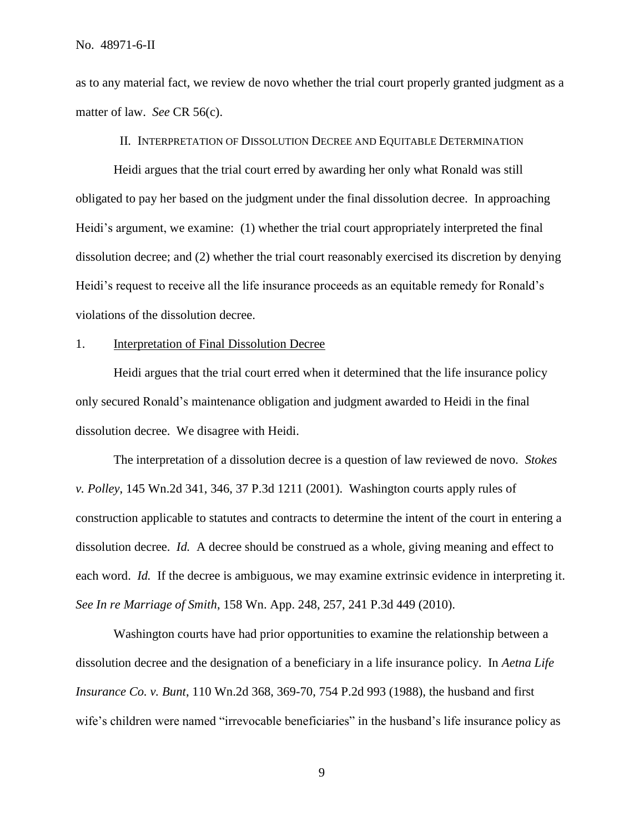as to any material fact, we review de novo whether the trial court properly granted judgment as a matter of law. *See* CR 56(c).

## II. INTERPRETATION OF DISSOLUTION DECREE AND EQUITABLE DETERMINATION

Heidi argues that the trial court erred by awarding her only what Ronald was still obligated to pay her based on the judgment under the final dissolution decree. In approaching Heidi's argument, we examine: (1) whether the trial court appropriately interpreted the final dissolution decree; and (2) whether the trial court reasonably exercised its discretion by denying Heidi's request to receive all the life insurance proceeds as an equitable remedy for Ronald's violations of the dissolution decree.

#### 1. Interpretation of Final Dissolution Decree

Heidi argues that the trial court erred when it determined that the life insurance policy only secured Ronald's maintenance obligation and judgment awarded to Heidi in the final dissolution decree. We disagree with Heidi.

The interpretation of a dissolution decree is a question of law reviewed de novo. *Stokes v. Polley*, 145 Wn.2d 341, 346, 37 P.3d 1211 (2001). Washington courts apply rules of construction applicable to statutes and contracts to determine the intent of the court in entering a dissolution decree. *Id.* A decree should be construed as a whole, giving meaning and effect to each word. *Id.* If the decree is ambiguous, we may examine extrinsic evidence in interpreting it. *See In re Marriage of Smith*, 158 Wn. App. 248, 257, 241 P.3d 449 (2010).

Washington courts have had prior opportunities to examine the relationship between a dissolution decree and the designation of a beneficiary in a life insurance policy. In *Aetna Life Insurance Co. v. Bunt*, 110 Wn.2d 368, 369-70, 754 P.2d 993 (1988), the husband and first wife's children were named "irrevocable beneficiaries" in the husband's life insurance policy as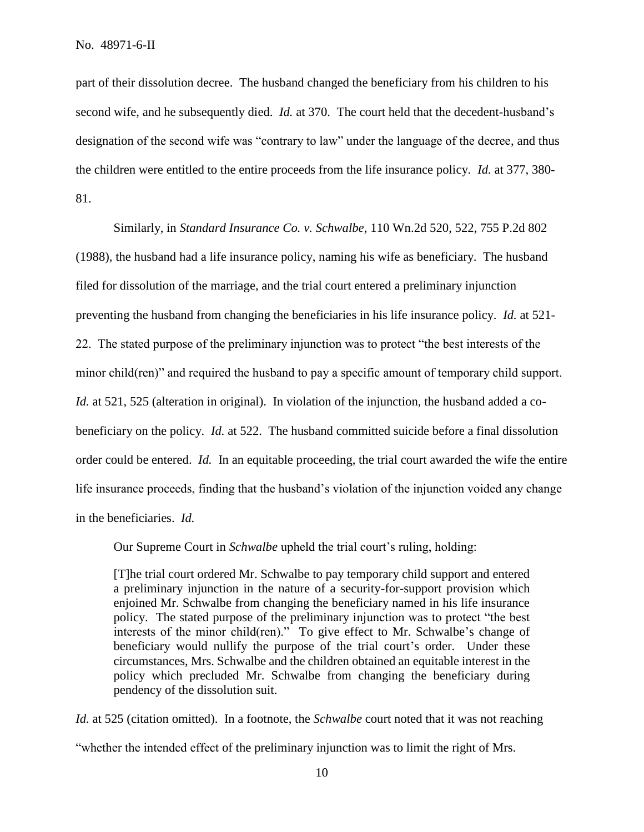part of their dissolution decree. The husband changed the beneficiary from his children to his second wife, and he subsequently died. *Id.* at 370. The court held that the decedent-husband's designation of the second wife was "contrary to law" under the language of the decree, and thus the children were entitled to the entire proceeds from the life insurance policy. *Id.* at 377, 380- 81.

Similarly, in *Standard Insurance Co. v. Schwalbe*, 110 Wn.2d 520, 522, 755 P.2d 802 (1988), the husband had a life insurance policy, naming his wife as beneficiary. The husband filed for dissolution of the marriage, and the trial court entered a preliminary injunction preventing the husband from changing the beneficiaries in his life insurance policy. *Id.* at 521- 22. The stated purpose of the preliminary injunction was to protect "the best interests of the minor child(ren)" and required the husband to pay a specific amount of temporary child support. *Id.* at 521, 525 (alteration in original). In violation of the injunction, the husband added a cobeneficiary on the policy. *Id.* at 522. The husband committed suicide before a final dissolution order could be entered. *Id.* In an equitable proceeding, the trial court awarded the wife the entire life insurance proceeds, finding that the husband's violation of the injunction voided any change in the beneficiaries. *Id.*

Our Supreme Court in *Schwalbe* upheld the trial court's ruling, holding:

[T]he trial court ordered Mr. Schwalbe to pay temporary child support and entered a preliminary injunction in the nature of a security-for-support provision which enjoined Mr. Schwalbe from changing the beneficiary named in his life insurance policy. The stated purpose of the preliminary injunction was to protect "the best interests of the minor child(ren)." To give effect to Mr. Schwalbe's change of beneficiary would nullify the purpose of the trial court's order. Under these circumstances, Mrs. Schwalbe and the children obtained an equitable interest in the policy which precluded Mr. Schwalbe from changing the beneficiary during pendency of the dissolution suit.

*Id.* at 525 (citation omitted). In a footnote, the *Schwalbe* court noted that it was not reaching "whether the intended effect of the preliminary injunction was to limit the right of Mrs.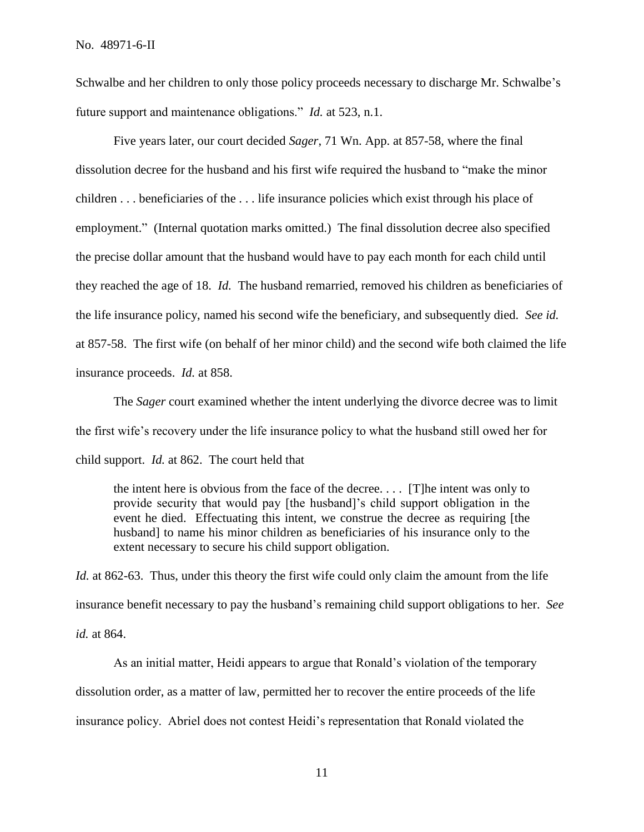Schwalbe and her children to only those policy proceeds necessary to discharge Mr. Schwalbe's future support and maintenance obligations." *Id.* at 523, n.1.

Five years later, our court decided *Sager*, 71 Wn. App. at 857-58, where the final dissolution decree for the husband and his first wife required the husband to "make the minor children . . . beneficiaries of the . . . life insurance policies which exist through his place of employment." (Internal quotation marks omitted.) The final dissolution decree also specified the precise dollar amount that the husband would have to pay each month for each child until they reached the age of 18. *Id.* The husband remarried, removed his children as beneficiaries of the life insurance policy, named his second wife the beneficiary, and subsequently died. *See id.*  at 857-58. The first wife (on behalf of her minor child) and the second wife both claimed the life insurance proceeds. *Id.* at 858.

The *Sager* court examined whether the intent underlying the divorce decree was to limit the first wife's recovery under the life insurance policy to what the husband still owed her for child support. *Id.* at 862. The court held that

the intent here is obvious from the face of the decree. . . . [T]he intent was only to provide security that would pay [the husband]'s child support obligation in the event he died. Effectuating this intent, we construe the decree as requiring [the husband] to name his minor children as beneficiaries of his insurance only to the extent necessary to secure his child support obligation.

*Id.* at 862-63. Thus, under this theory the first wife could only claim the amount from the life insurance benefit necessary to pay the husband's remaining child support obligations to her. *See id.* at 864.

As an initial matter, Heidi appears to argue that Ronald's violation of the temporary dissolution order, as a matter of law, permitted her to recover the entire proceeds of the life insurance policy. Abriel does not contest Heidi's representation that Ronald violated the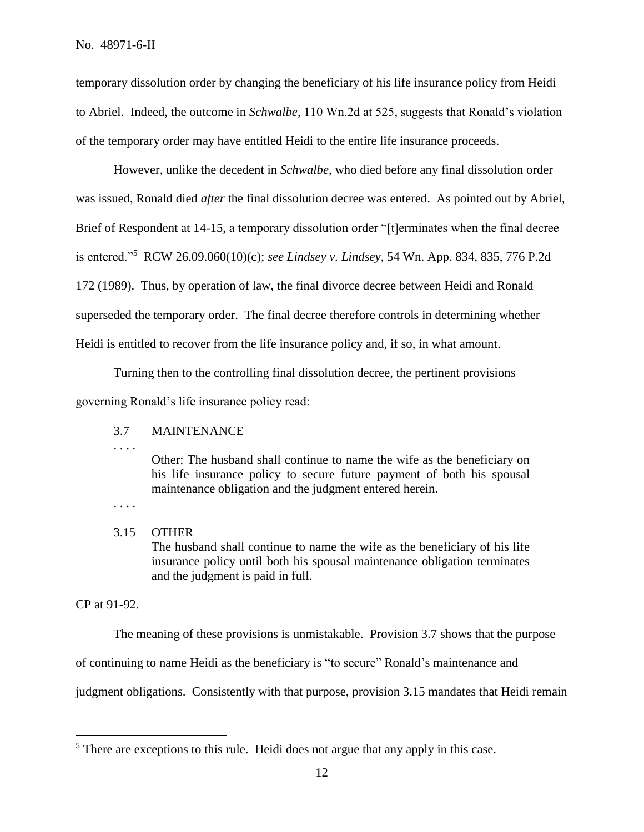temporary dissolution order by changing the beneficiary of his life insurance policy from Heidi to Abriel. Indeed, the outcome in *Schwalbe*, 110 Wn.2d at 525, suggests that Ronald's violation of the temporary order may have entitled Heidi to the entire life insurance proceeds.

However, unlike the decedent in *Schwalbe*, who died before any final dissolution order was issued, Ronald died *after* the final dissolution decree was entered. As pointed out by Abriel, Brief of Respondent at 14-15, a temporary dissolution order "[t]erminates when the final decree is entered."<sup>5</sup> RCW 26.09.060(10)(c); *see Lindsey v. Lindsey*, 54 Wn. App. 834, 835, 776 P.2d 172 (1989). Thus, by operation of law, the final divorce decree between Heidi and Ronald superseded the temporary order. The final decree therefore controls in determining whether Heidi is entitled to recover from the life insurance policy and, if so, in what amount.

Turning then to the controlling final dissolution decree, the pertinent provisions

governing Ronald's life insurance policy read:

## 3.7 MAINTENANCE

. . . .

Other: The husband shall continue to name the wife as the beneficiary on his life insurance policy to secure future payment of both his spousal maintenance obligation and the judgment entered herein.

. . . .

# 3.15 OTHER

The husband shall continue to name the wife as the beneficiary of his life insurance policy until both his spousal maintenance obligation terminates and the judgment is paid in full.

CP at 91-92.

 $\overline{a}$ 

The meaning of these provisions is unmistakable. Provision 3.7 shows that the purpose

of continuing to name Heidi as the beneficiary is "to secure" Ronald's maintenance and

judgment obligations. Consistently with that purpose, provision 3.15 mandates that Heidi remain

<sup>&</sup>lt;sup>5</sup> There are exceptions to this rule. Heidi does not argue that any apply in this case.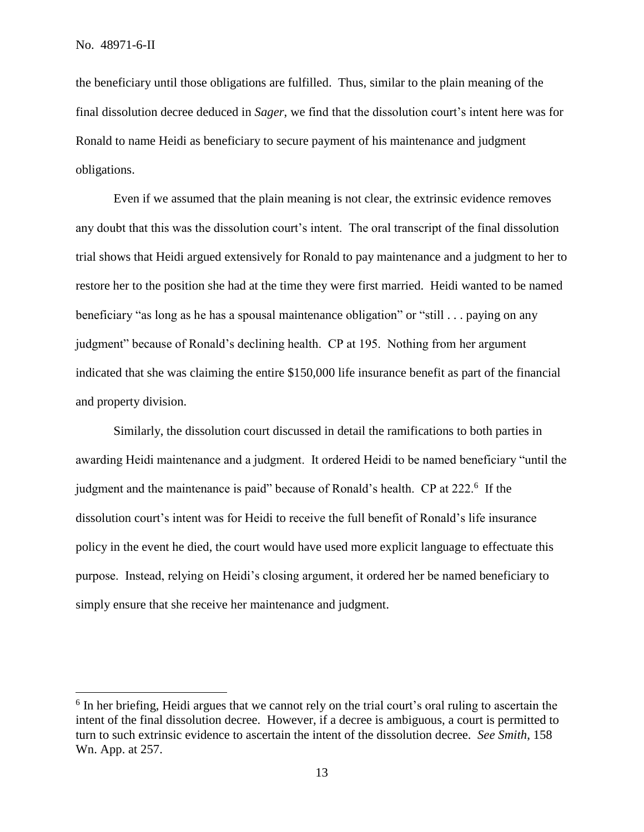the beneficiary until those obligations are fulfilled. Thus, similar to the plain meaning of the final dissolution decree deduced in *Sager*, we find that the dissolution court's intent here was for Ronald to name Heidi as beneficiary to secure payment of his maintenance and judgment obligations.

Even if we assumed that the plain meaning is not clear, the extrinsic evidence removes any doubt that this was the dissolution court's intent. The oral transcript of the final dissolution trial shows that Heidi argued extensively for Ronald to pay maintenance and a judgment to her to restore her to the position she had at the time they were first married. Heidi wanted to be named beneficiary "as long as he has a spousal maintenance obligation" or "still . . . paying on any judgment" because of Ronald's declining health. CP at 195. Nothing from her argument indicated that she was claiming the entire \$150,000 life insurance benefit as part of the financial and property division.

Similarly, the dissolution court discussed in detail the ramifications to both parties in awarding Heidi maintenance and a judgment. It ordered Heidi to be named beneficiary "until the judgment and the maintenance is paid" because of Ronald's health. CP at 222.<sup>6</sup> If the dissolution court's intent was for Heidi to receive the full benefit of Ronald's life insurance policy in the event he died, the court would have used more explicit language to effectuate this purpose. Instead, relying on Heidi's closing argument, it ordered her be named beneficiary to simply ensure that she receive her maintenance and judgment.

<sup>&</sup>lt;sup>6</sup> In her briefing, Heidi argues that we cannot rely on the trial court's oral ruling to ascertain the intent of the final dissolution decree. However, if a decree is ambiguous, a court is permitted to turn to such extrinsic evidence to ascertain the intent of the dissolution decree. *See Smith*, 158 Wn. App. at 257.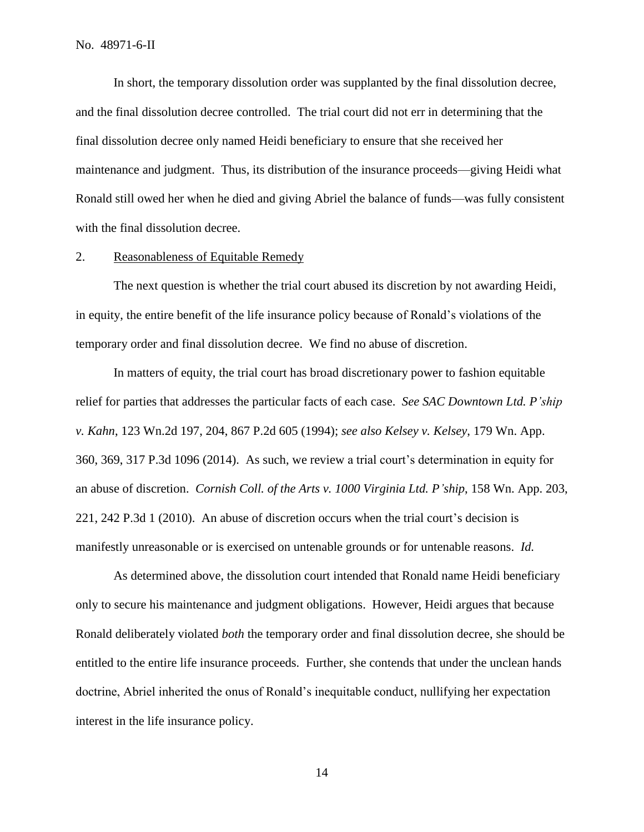In short, the temporary dissolution order was supplanted by the final dissolution decree, and the final dissolution decree controlled. The trial court did not err in determining that the final dissolution decree only named Heidi beneficiary to ensure that she received her maintenance and judgment. Thus, its distribution of the insurance proceeds—giving Heidi what Ronald still owed her when he died and giving Abriel the balance of funds—was fully consistent with the final dissolution decree.

#### 2. Reasonableness of Equitable Remedy

The next question is whether the trial court abused its discretion by not awarding Heidi, in equity, the entire benefit of the life insurance policy because of Ronald's violations of the temporary order and final dissolution decree. We find no abuse of discretion.

In matters of equity, the trial court has broad discretionary power to fashion equitable relief for parties that addresses the particular facts of each case. *See SAC Downtown Ltd. P'ship v. Kahn*, 123 Wn.2d 197, 204, 867 P.2d 605 (1994); *see also Kelsey v. Kelsey*, 179 Wn. App. 360, 369, 317 P.3d 1096 (2014). As such, we review a trial court's determination in equity for an abuse of discretion. *Cornish Coll. of the Arts v. 1000 Virginia Ltd. P'ship*, 158 Wn. App. 203, 221, 242 P.3d 1 (2010). An abuse of discretion occurs when the trial court's decision is manifestly unreasonable or is exercised on untenable grounds or for untenable reasons. *Id.*

As determined above, the dissolution court intended that Ronald name Heidi beneficiary only to secure his maintenance and judgment obligations. However, Heidi argues that because Ronald deliberately violated *both* the temporary order and final dissolution decree, she should be entitled to the entire life insurance proceeds. Further, she contends that under the unclean hands doctrine, Abriel inherited the onus of Ronald's inequitable conduct, nullifying her expectation interest in the life insurance policy.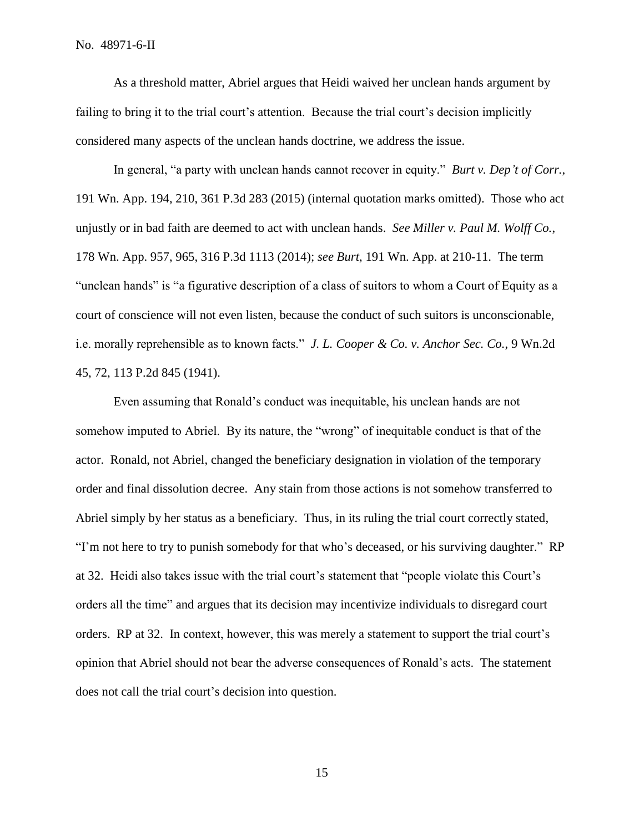As a threshold matter, Abriel argues that Heidi waived her unclean hands argument by failing to bring it to the trial court's attention. Because the trial court's decision implicitly considered many aspects of the unclean hands doctrine, we address the issue.

In general, "a party with unclean hands cannot recover in equity." *Burt v. Dep't of Corr.*, 191 Wn. App. 194, 210, 361 P.3d 283 (2015) (internal quotation marks omitted). Those who act unjustly or in bad faith are deemed to act with unclean hands. *See Miller v. Paul M. Wolff Co.*, 178 Wn. App. 957, 965, 316 P.3d 1113 (2014); *see Burt*, 191 Wn. App. at 210-11. The term "unclean hands" is "a figurative description of a class of suitors to whom a Court of Equity as a court of conscience will not even listen, because the conduct of such suitors is unconscionable, i.e. morally reprehensible as to known facts." *J. L. Cooper & Co. v. Anchor Sec. Co.*, 9 Wn.2d 45, 72, 113 P.2d 845 (1941).

Even assuming that Ronald's conduct was inequitable, his unclean hands are not somehow imputed to Abriel. By its nature, the "wrong" of inequitable conduct is that of the actor. Ronald, not Abriel, changed the beneficiary designation in violation of the temporary order and final dissolution decree. Any stain from those actions is not somehow transferred to Abriel simply by her status as a beneficiary. Thus, in its ruling the trial court correctly stated, "I'm not here to try to punish somebody for that who's deceased, or his surviving daughter." RP at 32. Heidi also takes issue with the trial court's statement that "people violate this Court's orders all the time" and argues that its decision may incentivize individuals to disregard court orders. RP at 32. In context, however, this was merely a statement to support the trial court's opinion that Abriel should not bear the adverse consequences of Ronald's acts. The statement does not call the trial court's decision into question.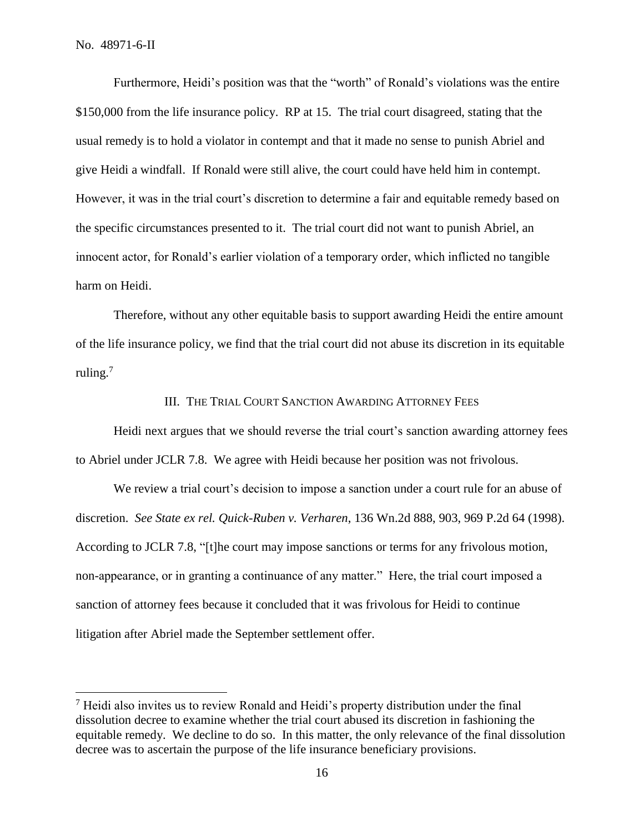Furthermore, Heidi's position was that the "worth" of Ronald's violations was the entire \$150,000 from the life insurance policy. RP at 15. The trial court disagreed, stating that the usual remedy is to hold a violator in contempt and that it made no sense to punish Abriel and give Heidi a windfall. If Ronald were still alive, the court could have held him in contempt. However, it was in the trial court's discretion to determine a fair and equitable remedy based on the specific circumstances presented to it. The trial court did not want to punish Abriel, an innocent actor, for Ronald's earlier violation of a temporary order, which inflicted no tangible harm on Heidi.

Therefore, without any other equitable basis to support awarding Heidi the entire amount of the life insurance policy, we find that the trial court did not abuse its discretion in its equitable ruling.<sup>7</sup>

#### III. THE TRIAL COURT SANCTION AWARDING ATTORNEY FEES

Heidi next argues that we should reverse the trial court's sanction awarding attorney fees to Abriel under JCLR 7.8. We agree with Heidi because her position was not frivolous.

We review a trial court's decision to impose a sanction under a court rule for an abuse of discretion. *See State ex rel. Quick-Ruben v. Verharen*, 136 Wn.2d 888, 903, 969 P.2d 64 (1998). According to JCLR 7.8, "[t]he court may impose sanctions or terms for any frivolous motion, non-appearance, or in granting a continuance of any matter." Here, the trial court imposed a sanction of attorney fees because it concluded that it was frivolous for Heidi to continue litigation after Abriel made the September settlement offer.

<sup>7</sup> Heidi also invites us to review Ronald and Heidi's property distribution under the final dissolution decree to examine whether the trial court abused its discretion in fashioning the equitable remedy.We decline to do so. In this matter, the only relevance of the final dissolution decree was to ascertain the purpose of the life insurance beneficiary provisions.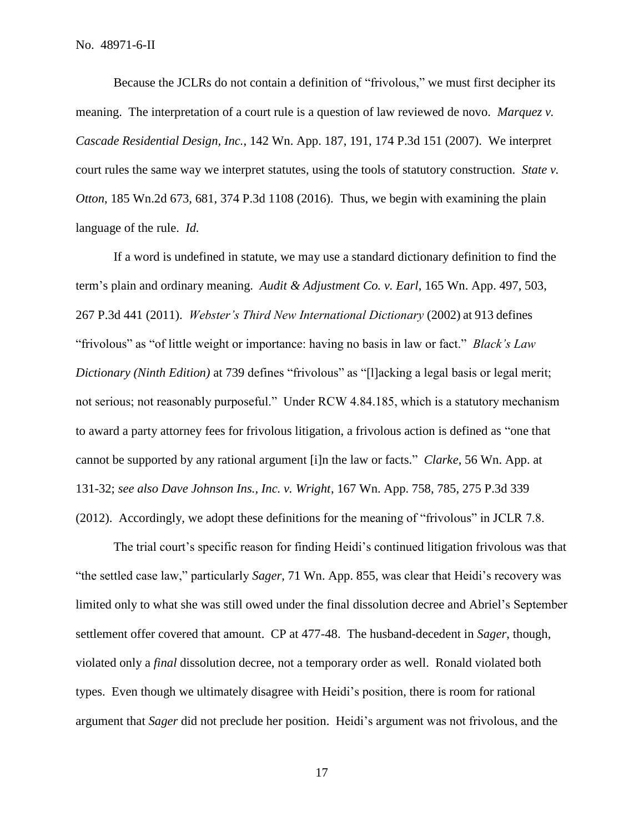Because the JCLRs do not contain a definition of "frivolous," we must first decipher its meaning. The interpretation of a court rule is a question of law reviewed de novo. *Marquez v. Cascade Residential Design, Inc.*, 142 Wn. App. 187, 191, 174 P.3d 151 (2007). We interpret court rules the same way we interpret statutes, using the tools of statutory construction. *State v. Otton*, 185 Wn.2d 673, 681, 374 P.3d 1108 (2016). Thus, we begin with examining the plain language of the rule. *Id.*

If a word is undefined in statute, we may use a standard dictionary definition to find the term's plain and ordinary meaning. *Audit & Adjustment Co. v. Earl*, 165 Wn. App. 497, 503, 267 P.3d 441 (2011). *Webster's Third New International Dictionary* (2002) at 913 defines "frivolous" as "of little weight or importance: having no basis in law or fact." *Black's Law Dictionary (Ninth Edition)* at 739 defines "frivolous" as "[l]acking a legal basis or legal merit; not serious; not reasonably purposeful." Under RCW 4.84.185, which is a statutory mechanism to award a party attorney fees for frivolous litigation, a frivolous action is defined as "one that cannot be supported by any rational argument [i]n the law or facts." *Clarke*, 56 Wn. App. at 131-32; *see also Dave Johnson Ins., Inc. v. Wright*, 167 Wn. App. 758, 785, 275 P.3d 339 (2012). Accordingly, we adopt these definitions for the meaning of "frivolous" in JCLR 7.8.

The trial court's specific reason for finding Heidi's continued litigation frivolous was that "the settled case law," particularly *Sager*, 71 Wn. App. 855, was clear that Heidi's recovery was limited only to what she was still owed under the final dissolution decree and Abriel's September settlement offer covered that amount. CP at 477-48. The husband-decedent in *Sager*, though, violated only a *final* dissolution decree, not a temporary order as well. Ronald violated both types. Even though we ultimately disagree with Heidi's position, there is room for rational argument that *Sager* did not preclude her position. Heidi's argument was not frivolous, and the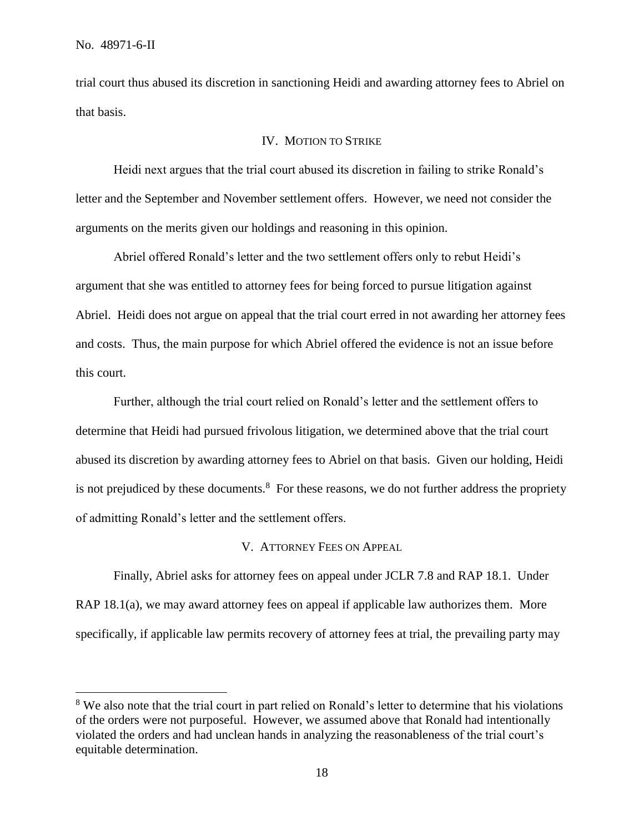trial court thus abused its discretion in sanctioning Heidi and awarding attorney fees to Abriel on that basis.

### IV. MOTION TO STRIKE

Heidi next argues that the trial court abused its discretion in failing to strike Ronald's letter and the September and November settlement offers. However, we need not consider the arguments on the merits given our holdings and reasoning in this opinion.

Abriel offered Ronald's letter and the two settlement offers only to rebut Heidi's argument that she was entitled to attorney fees for being forced to pursue litigation against Abriel. Heidi does not argue on appeal that the trial court erred in not awarding her attorney fees and costs. Thus, the main purpose for which Abriel offered the evidence is not an issue before this court.

Further, although the trial court relied on Ronald's letter and the settlement offers to determine that Heidi had pursued frivolous litigation, we determined above that the trial court abused its discretion by awarding attorney fees to Abriel on that basis. Given our holding, Heidi is not prejudiced by these documents.<sup>8</sup> For these reasons, we do not further address the propriety of admitting Ronald's letter and the settlement offers.

#### V. ATTORNEY FEES ON APPEAL

Finally, Abriel asks for attorney fees on appeal under JCLR 7.8 and RAP 18.1. Under RAP 18.1(a), we may award attorney fees on appeal if applicable law authorizes them. More specifically, if applicable law permits recovery of attorney fees at trial, the prevailing party may

<sup>&</sup>lt;sup>8</sup> We also note that the trial court in part relied on Ronald's letter to determine that his violations of the orders were not purposeful. However, we assumed above that Ronald had intentionally violated the orders and had unclean hands in analyzing the reasonableness of the trial court's equitable determination.